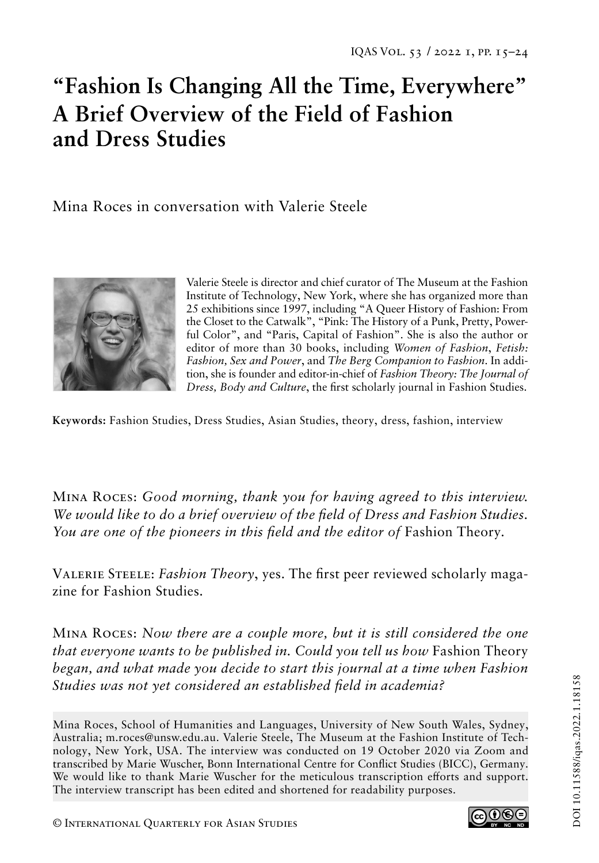# **"Fashion Is Changing All the Time, Everywhere" A Brief Overview of the Field of Fashion and Dress Studies**

Mina Roces in conversation with Valerie Steele



Valerie Steele is director and chief curator of The Museum at the Fashion Institute of Technology, New York, where she has organized more than 25 exhibitions since 1997, including "A Queer History of Fashion: From the Closet to the Catwalk", "Pink: The History of a Punk, Pretty, Powerful Color", and "Paris, Capital of Fashion". She is also the author or editor of more than 30 books, including *Women of Fashion*, *Fetish: Fashion, Sex and Power*, and *The Berg Companion to Fashion*. In addition, she is founder and editor-in-chief of *Fashion Theory: The Journal of Dress, Body and Culture*, the first scholarly journal in Fashion Studies.

**Keywords:** Fashion Studies, Dress Studies, Asian Studies, theory, dress, fashion, interview

Mina Roces: *Good morning, thank you for having agreed to this interview. We would like to do a brief overview of the field of Dress and Fashion Studies. You are one of the pioneers in this field and the editor of* Fashion Theory*.*

Valerie Steele: *Fashion Theory*, yes. The first peer reviewed scholarly magazine for Fashion Studies.

Mina Roces: *Now there are a couple more, but it is still considered the one that everyone wants to be published in. Could you tell us how Fashion Theory began, and what made you decide to start this journal at a time when Fashion Studies was not yet considered an established field in academia?*

Mina Roces, School of Humanities and Languages, University of New South Wales, Sydney, Australia; m.roces@unsw.edu.au. Valerie Steele, The Museum at the Fashion Institute of Technology, New York, USA. The interview was conducted on 19 October 2020 via Zoom and transcribed by Marie Wuscher, Bonn International Centre for Conflict Studies (BICC), Germany. We would like to thank Marie Wuscher for the meticulous transcription efforts and support. The interview transcript has been edited and shortened for readability purposes.

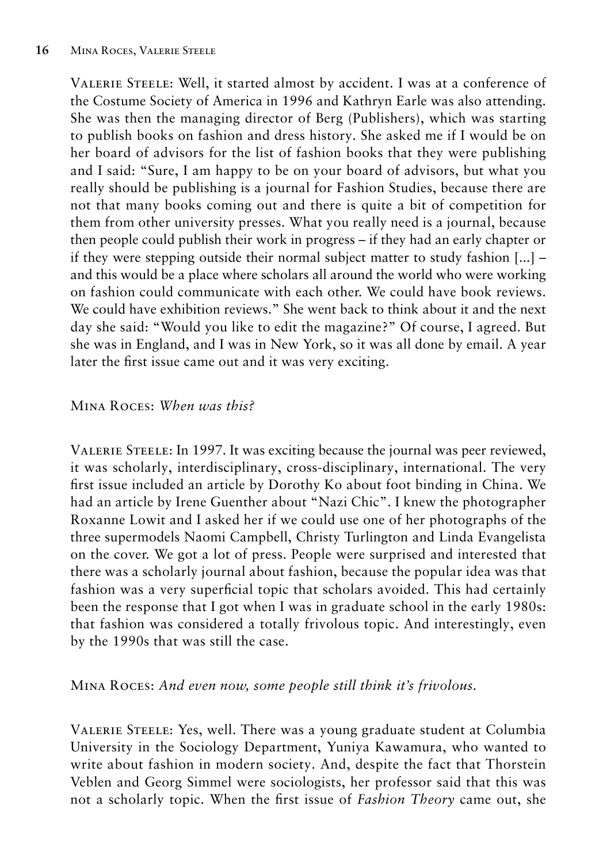Valerie Steele: Well, it started almost by accident. I was at a conference of the Costume Society of America in 1996 and Kathryn Earle was also attending. She was then the managing director of Berg (Publishers), which was starting to publish books on fashion and dress history. She asked me if I would be on her board of advisors for the list of fashion books that they were publishing and I said: "Sure, I am happy to be on your board of advisors, but what you really should be publishing is a journal for Fashion Studies, because there are not that many books coming out and there is quite a bit of competition for them from other university presses. What you really need is a journal, because then people could publish their work in progress – if they had an early chapter or if they were stepping outside their normal subject matter to study fashion [...] – and this would be a place where scholars all around the world who were working on fashion could communicate with each other. We could have book reviews. We could have exhibition reviews." She went back to think about it and the next day she said: "Would you like to edit the magazine?" Of course, I agreed. But she was in England, and I was in New York, so it was all done by email. A year later the first issue came out and it was very exciting.

#### Mina Roces: *When was this?*

Valerie Steele: In 1997. It was exciting because the journal was peer reviewed, it was scholarly, interdisciplinary, cross-disciplinary, international. The very first issue included an article by Dorothy Ko about foot binding in China. We had an article by Irene Guenther about "Nazi Chic". I knew the photographer Roxanne Lowit and I asked her if we could use one of her photographs of the three supermodels Naomi Campbell, Christy Turlington and Linda Evangelista on the cover. We got a lot of press. People were surprised and interested that there was a scholarly journal about fashion, because the popular idea was that fashion was a very superficial topic that scholars avoided. This had certainly been the response that I got when I was in graduate school in the early 1980s: that fashion was considered a totally frivolous topic. And interestingly, even by the 1990s that was still the case.

#### Mina Roces: *And even now, some people still think it's frivolous.*

Valerie Steele: Yes, well. There was a young graduate student at Columbia University in the Sociology Department, Yuniya Kawamura, who wanted to write about fashion in modern society. And, despite the fact that Thorstein Veblen and Georg Simmel were sociologists, her professor said that this was not a scholarly topic. When the first issue of *Fashion Theory* came out, she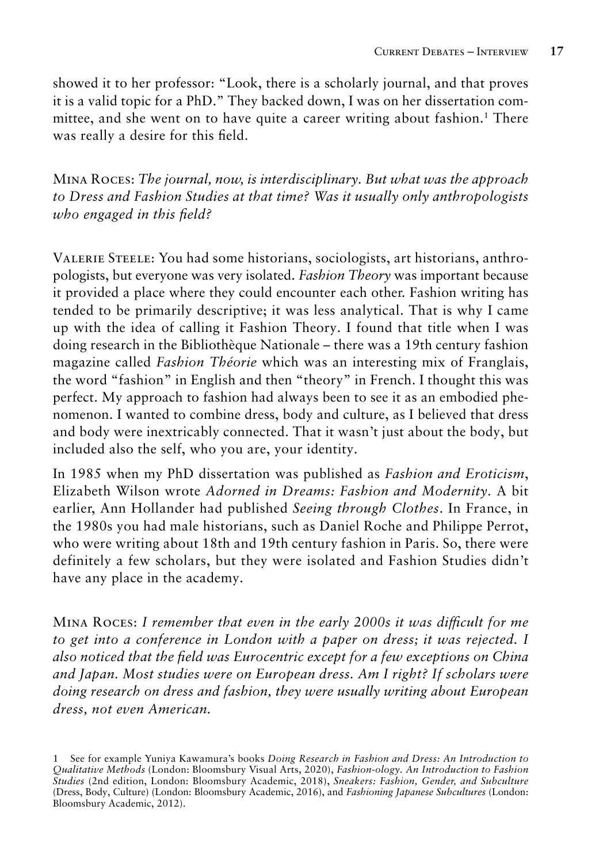showed it to her professor: "Look, there is a scholarly journal, and that proves it is a valid topic for a PhD." They backed down, I was on her dissertation committee, and she went on to have quite a career writing about fashion.<sup>1</sup> There was really a desire for this field.

Mina Roces: *The journal, now, is interdisciplinary. But what was the approach to Dress and Fashion Studies at that time? Was it usually only anthropologists who engaged in this field?* 

Valerie Steele: You had some historians, sociologists, art historians, anthropologists, but everyone was very isolated. *Fashion Theory* was important because it provided a place where they could encounter each other. Fashion writing has tended to be primarily descriptive; it was less analytical. That is why I came up with the idea of calling it Fashion Theory. I found that title when I was doing research in the Bibliothèque Nationale – there was a 19th century fashion magazine called *Fashion Théorie* which was an interesting mix of Franglais, the word "fashion" in English and then "theory" in French. I thought this was perfect. My approach to fashion had always been to see it as an embodied phenomenon. I wanted to combine dress, body and culture, as I believed that dress and body were inextricably connected. That it wasn't just about the body, but included also the self, who you are, your identity.

In 1985 when my PhD dissertation was published as *Fashion and Eroticism*, Elizabeth Wilson wrote *Adorned in Dreams: Fashion and Modernity.* A bit earlier, Ann Hollander had published *Seeing through Clothes*. In France, in the 1980s you had male historians, such as Daniel Roche and Philippe Perrot, who were writing about 18th and 19th century fashion in Paris. So, there were definitely a few scholars, but they were isolated and Fashion Studies didn't have any place in the academy.

Mina Roces: *I remember that even in the early 2000s it was difficult for me to get into a conference in London with a paper on dress; it was rejected. I also noticed that the field was Eurocentric except for a few exceptions on China and Japan. Most studies were on European dress. Am I right? If scholars were doing research on dress and fashion, they were usually writing about European dress, not even American.*

<sup>1</sup> See for example Yuniya Kawamura's books *Doing Research in Fashion and Dress: An Introduction to Qualitative Methods* (London: Bloomsbury Visual Arts, 2020), *Fashion-ology. An Introduction to Fashion Studies* (2nd edition, London: Bloomsbury Academic, 2018), *Sneakers: Fashion, Gender, and Subculture*  (Dress, Body, Culture) (London: Bloomsbury Academic, 2016), and *Fashioning Japanese Subcultures* (London: Bloomsbury Academic, 2012).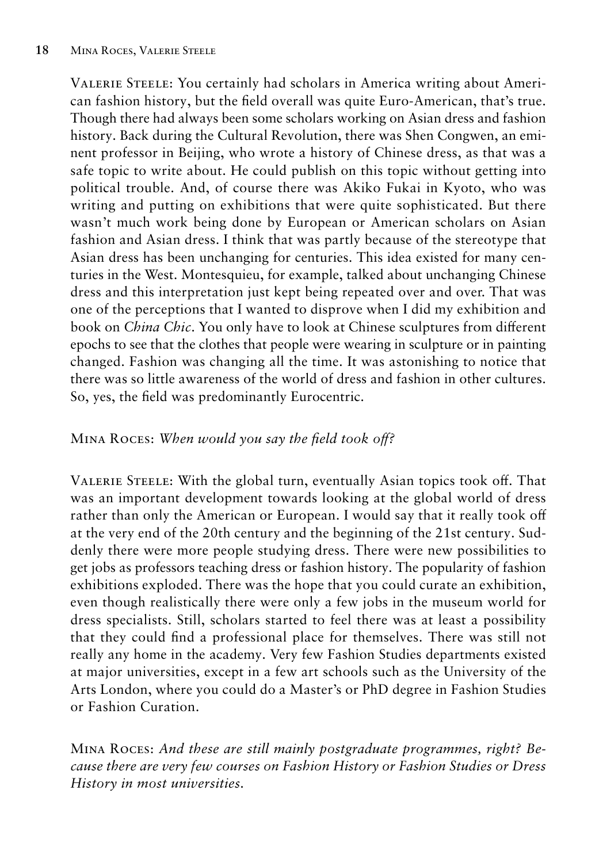Valerie Steele: You certainly had scholars in America writing about American fashion history, but the field overall was quite Euro-American, that's true. Though there had always been some scholars working on Asian dress and fashion history. Back during the Cultural Revolution, there was Shen Congwen, an eminent professor in Beijing, who wrote a history of Chinese dress, as that was a safe topic to write about. He could publish on this topic without getting into political trouble. And, of course there was Akiko Fukai in Kyoto, who was writing and putting on exhibitions that were quite sophisticated. But there wasn't much work being done by European or American scholars on Asian fashion and Asian dress. I think that was partly because of the stereotype that Asian dress has been unchanging for centuries. This idea existed for many centuries in the West. Montesquieu, for example, talked about unchanging Chinese dress and this interpretation just kept being repeated over and over. That was one of the perceptions that I wanted to disprove when I did my exhibition and book on *China Chic*. You only have to look at Chinese sculptures from different epochs to see that the clothes that people were wearing in sculpture or in painting changed. Fashion was changing all the time. It was astonishing to notice that there was so little awareness of the world of dress and fashion in other cultures. So, yes, the field was predominantly Eurocentric.

### Mina Roces: *When would you say the field took off?*

Valerie Steele: With the global turn, eventually Asian topics took off. That was an important development towards looking at the global world of dress rather than only the American or European. I would say that it really took off at the very end of the 20th century and the beginning of the 21st century. Suddenly there were more people studying dress. There were new possibilities to get jobs as professors teaching dress or fashion history. The popularity of fashion exhibitions exploded. There was the hope that you could curate an exhibition, even though realistically there were only a few jobs in the museum world for dress specialists. Still, scholars started to feel there was at least a possibility that they could find a professional place for themselves. There was still not really any home in the academy. Very few Fashion Studies departments existed at major universities, except in a few art schools such as the University of the Arts London, where you could do a Master's or PhD degree in Fashion Studies or Fashion Curation.

Mina Roces: *And these are still mainly postgraduate programmes, right? Because there are very few courses on Fashion History or Fashion Studies or Dress History in most universities.*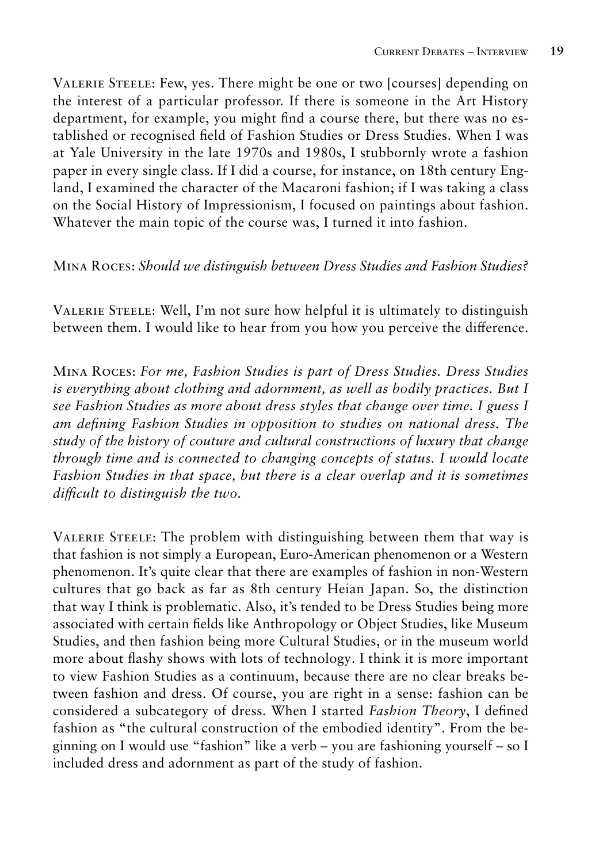Valerie Steele: Few, yes. There might be one or two [courses] depending on the interest of a particular professor. If there is someone in the Art History department, for example, you might find a course there, but there was no established or recognised field of Fashion Studies or Dress Studies. When I was at Yale University in the late 1970s and 1980s, I stubbornly wrote a fashion paper in every single class. If I did a course, for instance, on 18th century England, I examined the character of the Macaroni fashion; if I was taking a class on the Social History of Impressionism, I focused on paintings about fashion. Whatever the main topic of the course was, I turned it into fashion.

#### Mina Roces: *Should we distinguish between Dress Studies and Fashion Studies?*

Valerie Steele: Well, I'm not sure how helpful it is ultimately to distinguish between them. I would like to hear from you how you perceive the difference.

Mina Roces: *For me, Fashion Studies is part of Dress Studies. Dress Studies is everything about clothing and adornment, as well as bodily practices. But I see Fashion Studies as more about dress styles that change over time. I guess I am defining Fashion Studies in opposition to studies on national dress. The study of the history of couture and cultural constructions of luxury that change through time and is connected to changing concepts of status. I would locate Fashion Studies in that space, but there is a clear overlap and it is sometimes difficult to distinguish the two.*

Valerie Steele: The problem with distinguishing between them that way is that fashion is not simply a European, Euro-American phenomenon or a Western phenomenon. It's quite clear that there are examples of fashion in non-Western cultures that go back as far as 8th century Heian Japan. So, the distinction that way I think is problematic. Also, it's tended to be Dress Studies being more associated with certain fields like Anthropology or Object Studies, like Museum Studies, and then fashion being more Cultural Studies, or in the museum world more about flashy shows with lots of technology. I think it is more important to view Fashion Studies as a continuum, because there are no clear breaks between fashion and dress. Of course, you are right in a sense: fashion can be considered a subcategory of dress. When I started *Fashion Theory*, I defined fashion as "the cultural construction of the embodied identity". From the beginning on I would use "fashion" like a verb – you are fashioning yourself – so I included dress and adornment as part of the study of fashion.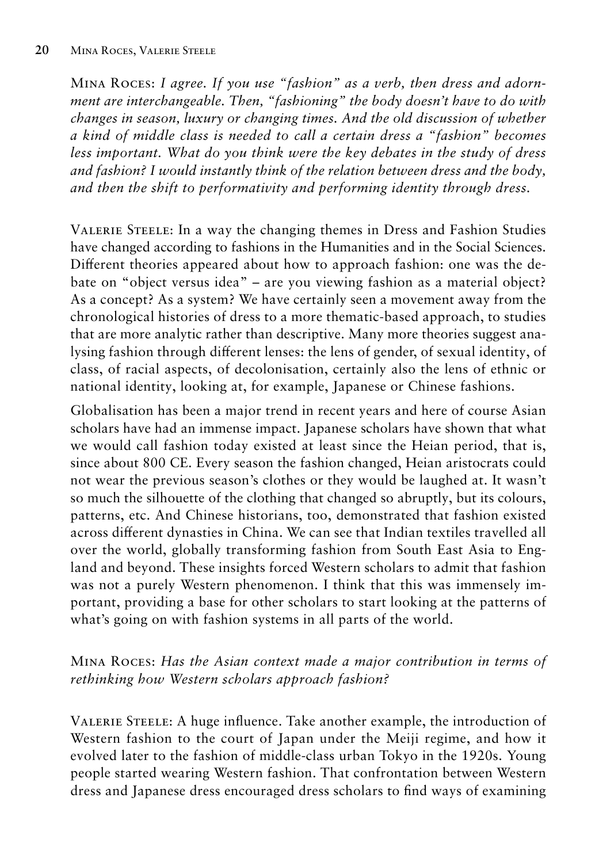Mina Roces: *I agree. If you use "fashion" as a verb, then dress and adornment are interchangeable. Then, "fashioning" the body doesn't have to do with changes in season, luxury or changing times. And the old discussion of whether a kind of middle class is needed to call a certain dress a "fashion" becomes less important. What do you think were the key debates in the study of dress and fashion? I would instantly think of the relation between dress and the body, and then the shift to performativity and performing identity through dress.*

Valerie Steele: In a way the changing themes in Dress and Fashion Studies have changed according to fashions in the Humanities and in the Social Sciences. Different theories appeared about how to approach fashion: one was the debate on "object versus idea" – are you viewing fashion as a material object? As a concept? As a system? We have certainly seen a movement away from the chronological histories of dress to a more thematic-based approach, to studies that are more analytic rather than descriptive. Many more theories suggest analysing fashion through different lenses: the lens of gender, of sexual identity, of class, of racial aspects, of decolonisation, certainly also the lens of ethnic or national identity, looking at, for example, Japanese or Chinese fashions.

Globalisation has been a major trend in recent years and here of course Asian scholars have had an immense impact. Japanese scholars have shown that what we would call fashion today existed at least since the Heian period, that is, since about 800 CE. Every season the fashion changed, Heian aristocrats could not wear the previous season's clothes or they would be laughed at. It wasn't so much the silhouette of the clothing that changed so abruptly, but its colours, patterns, etc. And Chinese historians, too, demonstrated that fashion existed across different dynasties in China. We can see that Indian textiles travelled all over the world, globally transforming fashion from South East Asia to England and beyond. These insights forced Western scholars to admit that fashion was not a purely Western phenomenon. I think that this was immensely important, providing a base for other scholars to start looking at the patterns of what's going on with fashion systems in all parts of the world.

# Mina Roces: *Has the Asian context made a major contribution in terms of rethinking how Western scholars approach fashion?*

Valerie Steele: A huge influence. Take another example, the introduction of Western fashion to the court of Japan under the Meiji regime, and how it evolved later to the fashion of middle-class urban Tokyo in the 1920s. Young people started wearing Western fashion. That confrontation between Western dress and Japanese dress encouraged dress scholars to find ways of examining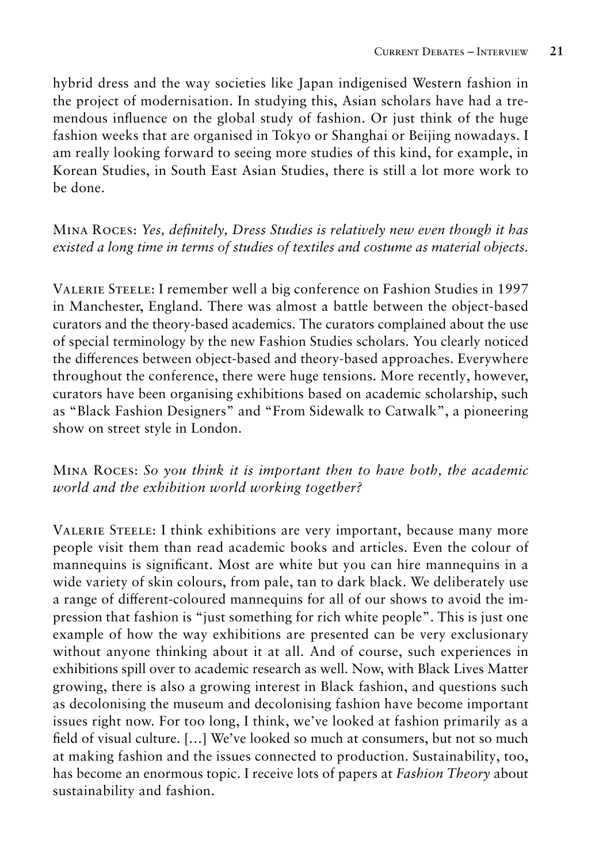hybrid dress and the way societies like Japan indigenised Western fashion in the project of modernisation. In studying this, Asian scholars have had a tremendous influence on the global study of fashion. Or just think of the huge fashion weeks that are organised in Tokyo or Shanghai or Beijing nowadays. I am really looking forward to seeing more studies of this kind, for example, in Korean Studies, in South East Asian Studies, there is still a lot more work to be done.

# Mina Roces: *Yes, definitely, Dress Studies is relatively new even though it has existed a long time in terms of studies of textiles and costume as material objects.*

Valerie Steele: I remember well a big conference on Fashion Studies in 1997 in Manchester, England. There was almost a battle between the object-based curators and the theory-based academics. The curators complained about the use of special terminology by the new Fashion Studies scholars. You clearly noticed the differences between object-based and theory-based approaches. Everywhere throughout the conference, there were huge tensions. More recently, however, curators have been organising exhibitions based on academic scholarship, such as "Black Fashion Designers" and "From Sidewalk to Catwalk", a pioneering show on street style in London.

# Mina Roces: *So you think it is important then to have both, the academic world and the exhibition world working together?*

Valerie Steele: I think exhibitions are very important, because many more people visit them than read academic books and articles. Even the colour of mannequins is significant. Most are white but you can hire mannequins in a wide variety of skin colours, from pale, tan to dark black. We deliberately use a range of different-coloured mannequins for all of our shows to avoid the impression that fashion is "just something for rich white people". This is just one example of how the way exhibitions are presented can be very exclusionary without anyone thinking about it at all. And of course, such experiences in exhibitions spill over to academic research as well. Now, with Black Lives Matter growing, there is also a growing interest in Black fashion, and questions such as decolonising the museum and decolonising fashion have become important issues right now. For too long, I think, we've looked at fashion primarily as a field of visual culture. […] We've looked so much at consumers, but not so much at making fashion and the issues connected to production. Sustainability, too, has become an enormous topic. I receive lots of papers at *Fashion Theory* about sustainability and fashion.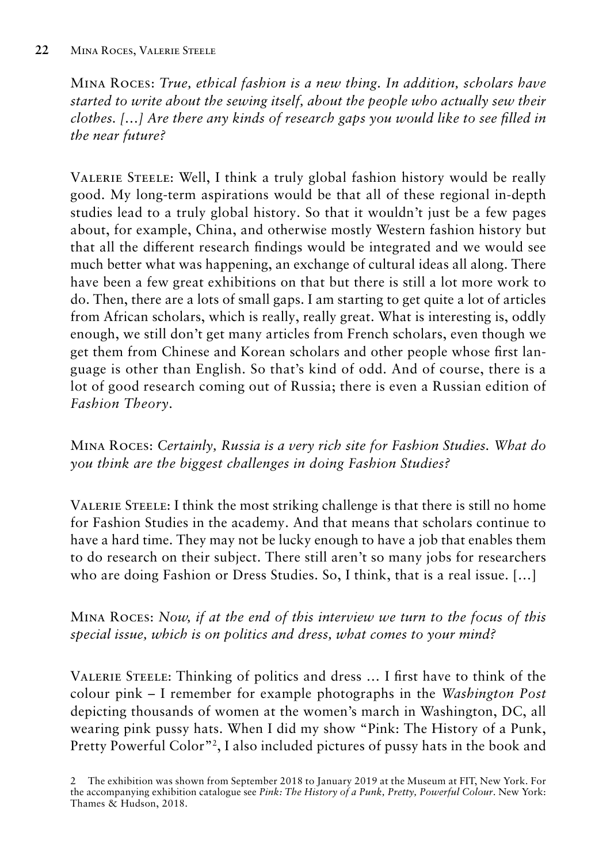Mina Roces: *True, ethical fashion is a new thing. In addition, scholars have started to write about the sewing itself, about the people who actually sew their clothes. […] Are there any kinds of research gaps you would like to see filled in the near future?*

Valerie Steele: Well, I think a truly global fashion history would be really good. My long-term aspirations would be that all of these regional in-depth studies lead to a truly global history. So that it wouldn't just be a few pages about, for example, China, and otherwise mostly Western fashion history but that all the different research findings would be integrated and we would see much better what was happening, an exchange of cultural ideas all along. There have been a few great exhibitions on that but there is still a lot more work to do. Then, there are a lots of small gaps. I am starting to get quite a lot of articles from African scholars, which is really, really great. What is interesting is, oddly enough, we still don't get many articles from French scholars, even though we get them from Chinese and Korean scholars and other people whose first language is other than English. So that's kind of odd. And of course, there is a lot of good research coming out of Russia; there is even a Russian edition of *Fashion Theory*.

Mina Roces: *Certainly, Russia is a very rich site for Fashion Studies. What do you think are the biggest challenges in doing Fashion Studies?*

Valerie Steele: I think the most striking challenge is that there is still no home for Fashion Studies in the academy. And that means that scholars continue to have a hard time. They may not be lucky enough to have a job that enables them to do research on their subject. There still aren't so many jobs for researchers who are doing Fashion or Dress Studies. So, I think, that is a real issue. […]

Mina Roces: *Now, if at the end of this interview we turn to the focus of this special issue, which is on politics and dress, what comes to your mind?*

Valerie Steele: Thinking of politics and dress … I first have to think of the colour pink – I remember for example photographs in the *Washington Post*  depicting thousands of women at the women's march in Washington, DC, all wearing pink pussy hats. When I did my show "Pink: The History of a Punk, Pretty Powerful Color"2, I also included pictures of pussy hats in the book and

<sup>2</sup> The exhibition was shown from September 2018 to January 2019 at the Museum at FIT, New York. For the accompanying exhibition catalogue see *Pink: The History of a Punk, Pretty, Powerful Colour*. New York: Thames & Hudson, 2018.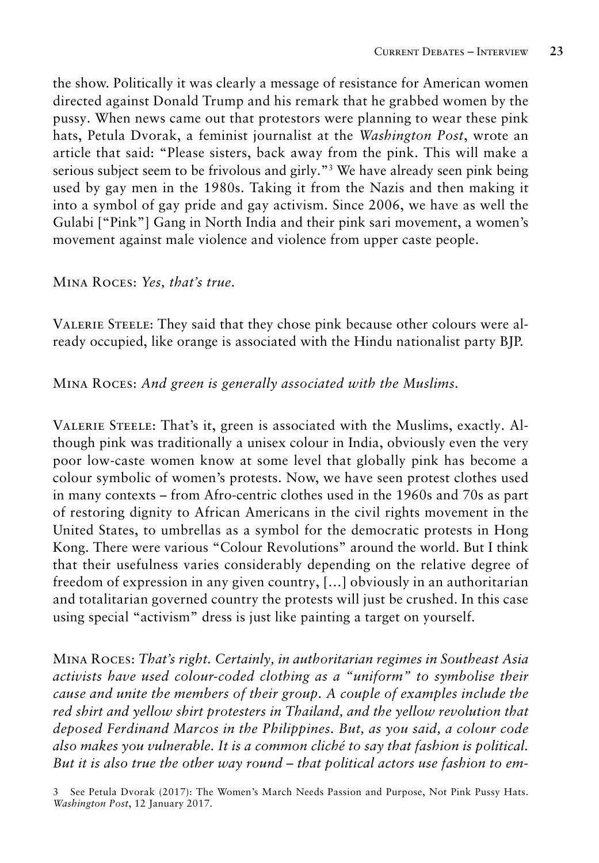the show. Politically it was clearly a message of resistance for American women directed against Donald Trump and his remark that he grabbed women by the pussy. When news came out that protestors were planning to wear these pink hats, Petula Dvorak, a feminist journalist at the *Washington Post*, wrote an article that said: "Please sisters, back away from the pink. This will make a serious subject seem to be frivolous and girly."3 We have already seen pink being used by gay men in the 1980s. Taking it from the Nazis and then making it into a symbol of gay pride and gay activism. Since 2006, we have as well the Gulabi ["Pink"] Gang in North India and their pink sari movement, a women's movement against male violence and violence from upper caste people.

#### Mina Roces: *Yes, that's true.*

Valerie Steele: They said that they chose pink because other colours were already occupied, like orange is associated with the Hindu nationalist party BJP.

# Mina Roces: *And green is generally associated with the Muslims.*

Valerie Steele: That's it, green is associated with the Muslims, exactly. Although pink was traditionally a unisex colour in India, obviously even the very poor low-caste women know at some level that globally pink has become a colour symbolic of women's protests. Now, we have seen protest clothes used in many contexts – from Afro-centric clothes used in the 1960s and 70s as part of restoring dignity to African Americans in the civil rights movement in the United States, to umbrellas as a symbol for the democratic protests in Hong Kong. There were various "Colour Revolutions" around the world. But I think that their usefulness varies considerably depending on the relative degree of freedom of expression in any given country, […] obviously in an authoritarian and totalitarian governed country the protests will just be crushed. In this case using special "activism" dress is just like painting a target on yourself.

Mina Roces: *That's right. Certainly, in authoritarian regimes in Southeast Asia activists have used colour-coded clothing as a "uniform" to symbolise their cause and unite the members of their group. A couple of examples include the red shirt and yellow shirt protesters in Thailand, and the yellow revolution that deposed Ferdinand Marcos in the Philippines. But, as you said, a colour code also makes you vulnerable. It is a common cliché to say that fashion is political. But it is also true the other way round – that political actors use fashion to em-*

3 See Petula Dvorak (2017): The Women's March Needs Passion and Purpose, Not Pink Pussy Hats. *Washington Post*, 12 January 2017.